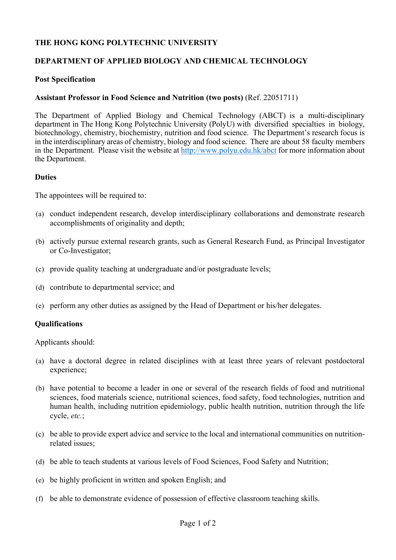## **THE HONG KONG POLYTECHNIC UNIVERSITY**

## **DEPARTMENT OF APPLIED BIOLOGY AND CHEMICAL TECHNOLOGY**

#### **Post Specification**

#### **Assistant Professor in Food Science and Nutrition (two posts)** (Ref. 22051711)

The Department of Applied Biology and Chemical Technology (ABCT) is a multi-disciplinary department in The Hong Kong Polytechnic University (PolyU) with diversified specialties in biology, biotechnology, chemistry, biochemistry, nutrition and food science. The Department's research focus is in the interdisciplinary areas of chemistry, biology and food science. There are about 58 faculty members in the Department. Please visit the website at http://www.polyu.edu.hk/abct for more information about the Department.

#### **Duties**

The appointees will be required to:

- (a) conduct independent research, develop interdisciplinary collaborations and demonstrate research accomplishments of originality and depth;
- (b) actively pursue external research grants, such as General Research Fund, as Principal Investigator or Co-Investigator;
- (c) provide quality teaching at undergraduate and/or postgraduate levels;
- (d) contribute to departmental service; and
- (e) perform any other duties as assigned by the Head of Department or his/her delegates.

## **Qualifications**

Applicants should:

- (a) have a doctoral degree in related disciplines with at least three years of relevant postdoctoral experience;
- (b) have potential to become a leader in one or several of the research fields of food and nutritional sciences, food materials science, nutritional sciences, food safety, food technologies, nutrition and human health, including nutrition epidemiology, public health nutrition, nutrition through the life cycle, *etc.*;
- (c) be able to provide expert advice and service to the local and international communities on nutritionrelated issues;
- (d) be able to teach students at various levels of Food Sciences, Food Safety and Nutrition;
- (e) be highly proficient in written and spoken English; and
- (f) be able to demonstrate evidence of possession of effective classroom teaching skills.